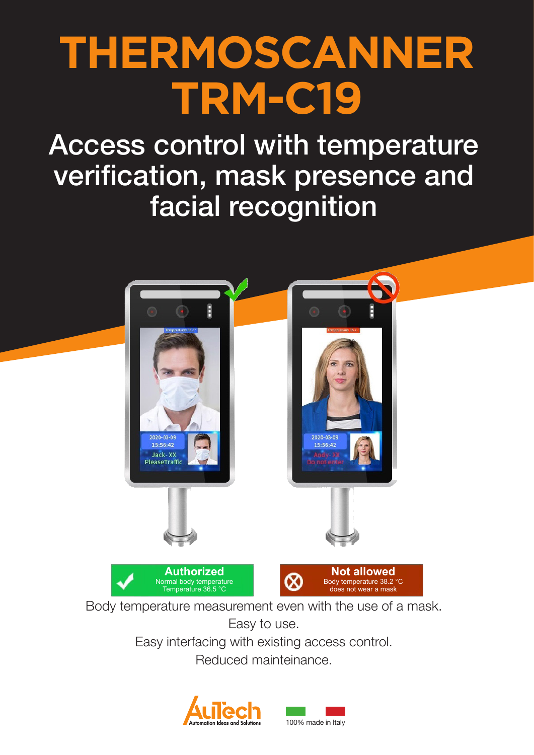# **THERMOSCANNER TRM-C19**

Access control with temperature verification, mask presence and facial recognition



Easy interfacing with existing access control. Reduced mainteinance.



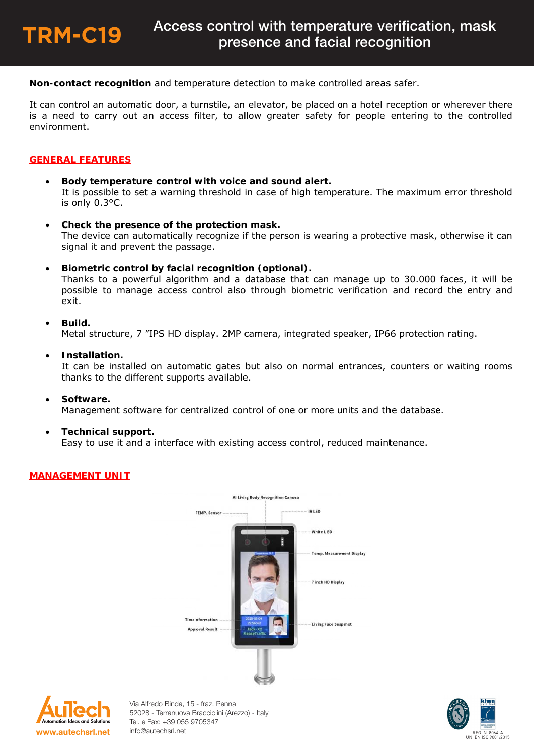

Non-contact recognition and temperature detection to make controlled areas safer.

It can control an automatic door, a turnstile, an elevator, be placed on a hotel reception or wherever there is a need to carry out an access filter, to allow greater safety for people entering to the controlled environment

# **GENERAL FEATURES**

- Body temperature control with voice and sound alert.  $\bullet$ It is possible to set a warning threshold in case of high temperature. The maximum error threshold is only 0.3°C.
- Check the presence of the protection mask.  $\bullet$ The device can automatically recognize if the person is wearing a protective mask, otherwise it can signal it and prevent the passage.
- Biometric control by facial recognition (optional).  $\bullet$ Thanks to a powerful algorithm and a database that can manage up to 30.000 faces, it will be possible to manage access control also through biometric verification and record the entry and exit.
- **Build** Metal structure, 7 "IPS HD display. 2MP camera, integrated speaker, IP66 protection rating.
- Installation.  $\bullet$

It can be installed on automatic gates but also on normal entrances, counters or waiting rooms thanks to the different supports available.

- Software. Management software for centralized control of one or more units and the database.
- Technical support. Easy to use it and a interface with existing access control, reduced maintenance.



# MANAGEMENT UNIT



Via Alfredo Binda, 15 - fraz. Penna 52028 - Terranuova Bracciolini (Arezzo) - Italy Tel. e Fax: +39 055 9705347 info@autechsrl.net

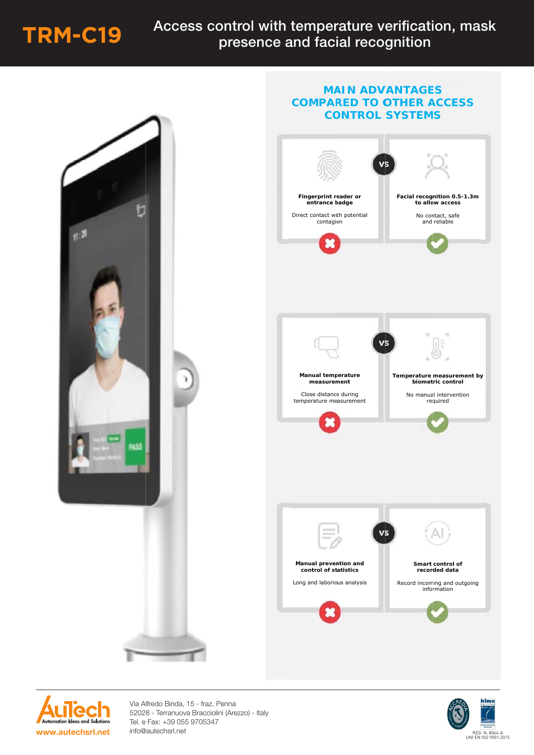

# Access control with temperature verification, mask presence and facial recognition





Via Alfredo Binda, 15 - fraz. Penna 52028 - Terranuova Bracciolini (Arezzo) - Italy Tel. e Fax: +39 055 9705347 info@autechsrl.net